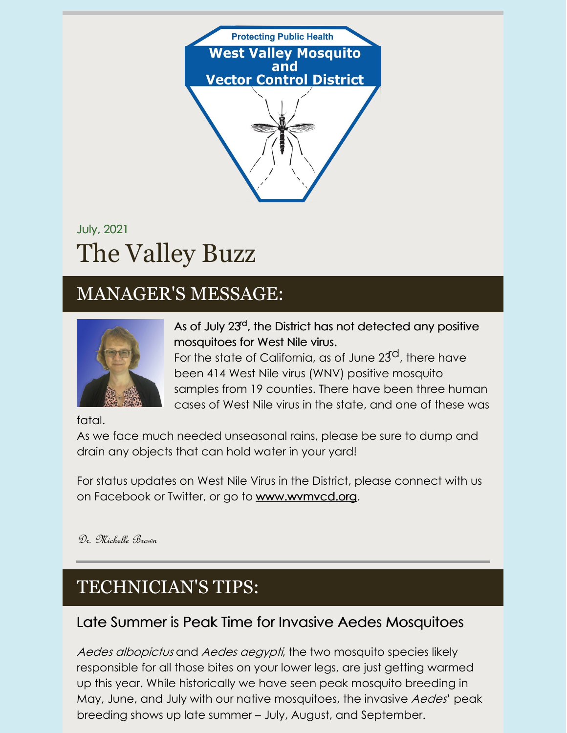

# July, 2021 The Valley Buzz

## MANAGER'S MESSAGE:



As of July 23<sup>d</sup>, the District has not detected any positive mosquitoes for West Nile virus.

For the state of California, as of June  $23^{\text{cl}}$ , there have been 414 West Nile virus (WNV) positive mosquito samples from 19 counties. There have been three human cases of West Nile virus in the state, and one of these was

fatal.

As we face much needed unseasonal rains, please be sure to dump and drain any objects that can hold water in your yard!

For status updates on West Nile Virus in the District, please connect with us on Facebook or Twitter, or go to [www.wvmvcd.org](http://www.wvmvcd.org).

Dr. Michelle Brown

## TECHNICIAN'S TIPS:

### Late Summer is Peak Time for Invasive Aedes Mosquitoes

Aedes albopictus and Aedes aegypti, the two mosquito species likely responsible for all those bites on your lower legs, are just getting warmed up this year. While historically we have seen peak mosquito breeding in May, June, and July with our native mosquitoes, the invasive Aedes' peak breeding shows up late summer – July, August, and September.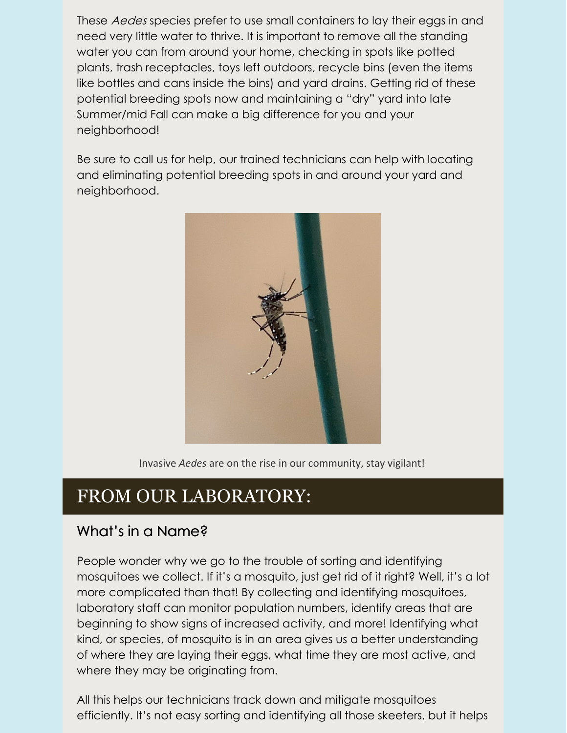These Aedes species prefer to use small containers to lay their eggs in and need very little water to thrive. It is important to remove all the standing water you can from around your home, checking in spots like potted plants, trash receptacles, toys left outdoors, recycle bins (even the items like bottles and cans inside the bins) and yard drains. Getting rid of these potential breeding spots now and maintaining a "dry" yard into late Summer/mid Fall can make a big difference for you and your neighborhood!

Be sure to call us for help, our trained technicians can help with locating and eliminating potential breeding spots in and around your yard and neighborhood.



Invasive *Aedes* are on the rise in our community, stay vigilant!

### FROM OUR LABORATORY:

#### What's in a Name?

People wonder why we go to the trouble of sorting and identifying mosquitoes we collect. If it's a mosquito, just get rid of it right? Well, it's a lot more complicated than that! By collecting and identifying mosquitoes, laboratory staff can monitor population numbers, identify areas that are beginning to show signs of increased activity, and more! Identifying what kind, or species, of mosquito is in an area gives us a better understanding of where they are laying their eggs, what time they are most active, and where they may be originating from.

All this helps our technicians track down and mitigate mosquitoes efficiently. It's not easy sorting and identifying all those skeeters, but it helps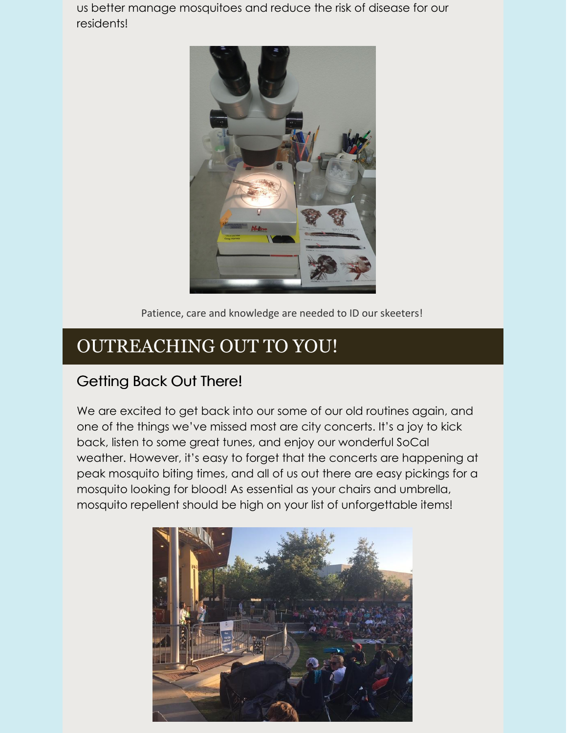us better manage mosquitoes and reduce the risk of disease for our residents!



Patience, care and knowledge are needed to ID our skeeters!

### OUTREACHING OUT TO YOU!

#### Getting Back Out There!

We are excited to get back into our some of our old routines again, and one of the things we've missed most are city concerts. It's a joy to kick back, listen to some great tunes, and enjoy our wonderful SoCal weather. However, it's easy to forget that the concerts are happening at peak mosquito biting times, and all of us out there are easy pickings for a mosquito looking for blood! As essential as your chairs and umbrella, mosquito repellent should be high on your list of unforgettable items!